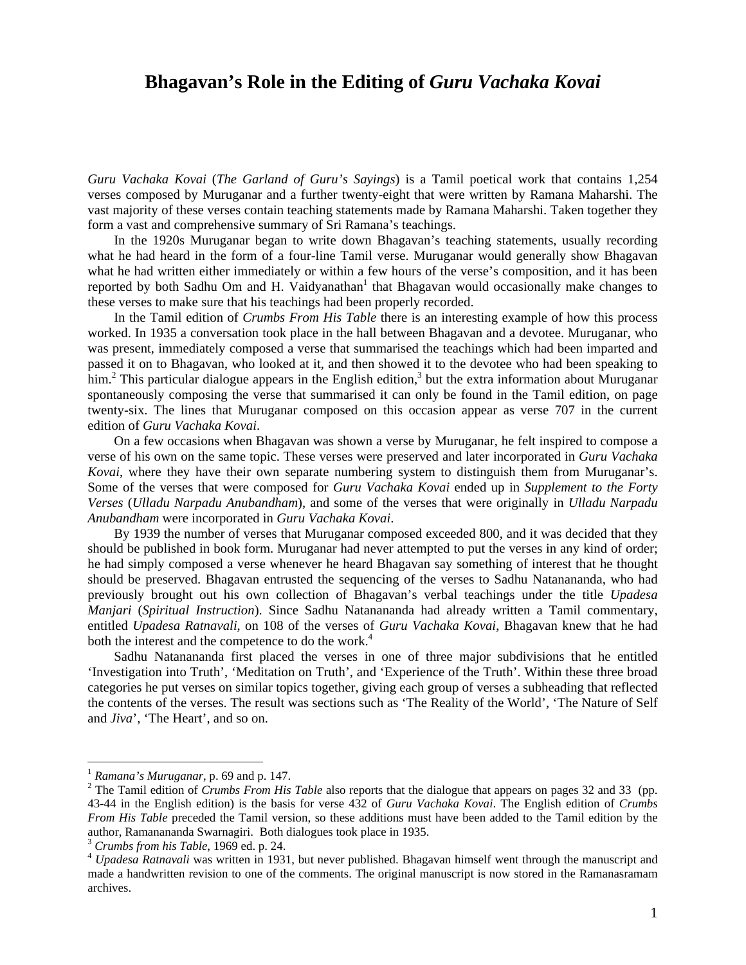# **Bhagavan's Role in the Editing of** *Guru Vachaka Kovai*

*Guru Vachaka Kovai* (*The Garland of Guru's Sayings*) is a Tamil poetical work that contains 1,254 verses composed by Muruganar and a further twenty-eight that were written by Ramana Maharshi. The vast majority of these verses contain teaching statements made by Ramana Maharshi. Taken together they form a vast and comprehensive summary of Sri Ramana's teachings.

In the 1920s Muruganar began to write down Bhagavan's teaching statements, usually recording what he had heard in the form of a four-line Tamil verse. Muruganar would generally show Bhagavan what he had written either immediately or within a few hours of the verse's composition, and it has been reported by both Sadhu Om and H. Vaidyanathan $1$  that Bhagavan would occasionally make changes to these verses to make sure that his teachings had been properly recorded.

In the Tamil edition of *Crumbs From His Table* there is an interesting example of how this process worked. In 1935 a conversation took place in the hall between Bhagavan and a devotee. Muruganar, who was present, immediately composed a verse that summarised the teachings which had been imparted and passed it on to Bhagavan, who looked at it, and then showed it to the devotee who had been speaking to him.<sup>[2](#page-0-1)</sup> This particular dialogue appears in the English edition,<sup>3</sup> but the extra information about Muruganar spontaneously composing the verse that summarised it can only be found in the Tamil edition, on page twenty-six. The lines that Muruganar composed on this occasion appear as verse 707 in the current edition of *Guru Vachaka Kovai*.

On a few occasions when Bhagavan was shown a verse by Muruganar, he felt inspired to compose a verse of his own on the same topic. These verses were preserved and later incorporated in *Guru Vachaka Kovai*, where they have their own separate numbering system to distinguish them from Muruganar's. Some of the verses that were composed for *Guru Vachaka Kovai* ended up in *Supplement to the Forty Verses* (*Ulladu Narpadu Anubandham*), and some of the verses that were originally in *Ulladu Narpadu Anubandham* were incorporated in *Guru Vachaka Kovai*.

By 1939 the number of verses that Muruganar composed exceeded 800, and it was decided that they should be published in book form. Muruganar had never attempted to put the verses in any kind of order; he had simply composed a verse whenever he heard Bhagavan say something of interest that he thought should be preserved. Bhagavan entrusted the sequencing of the verses to Sadhu Natanananda, who had previously brought out his own collection of Bhagavan's verbal teachings under the title *Upadesa Manjari* (*Spiritual Instruction*). Since Sadhu Natanananda had already written a Tamil commentary, entitled *Upadesa Ratnavali*, on 108 of the verses of *Guru Vachaka Kovai*, Bhagavan knew that he had both the interest and the competence to do the work.<sup>[4](#page-0-3)</sup>

Sadhu Natanananda first placed the verses in one of three major subdivisions that he entitled 'Investigation into Truth', 'Meditation on Truth', and 'Experience of the Truth'. Within these three broad categories he put verses on similar topics together, giving each group of verses a subheading that reflected the contents of the verses. The result was sections such as 'The Reality of the World', 'The Nature of Self and *Jiva*', 'The Heart', and so on.

<span id="page-0-0"></span> $<sup>1</sup> Ramana's Muruganar, p. 69 and p. 147.$ </sup>

<span id="page-0-1"></span><sup>&</sup>lt;sup>2</sup> The Tamil edition of *Crumbs From His Table* also reports that the dialogue that appears on pages 32 and 33 (pp. 43-44 in the English edition) is the basis for verse 432 of *Guru Vachaka Kovai*. The English edition of *Crumbs From His Table* preceded the Tamil version, so these additions must have been added to the Tamil edition by the author, Ramanananda Swarnagiri. Both dialogues took place in 1935.

<span id="page-0-3"></span><span id="page-0-2"></span>

 $\frac{3}{4}$  Crumbs from his Table, 1969 ed. p. 24.<br> $\frac{4}{4}$  Upadesa Ratnavali was written in 1931, but never published. Bhagavan himself went through the manuscript and made a handwritten revision to one of the comments. The original manuscript is now stored in the Ramanasramam archives.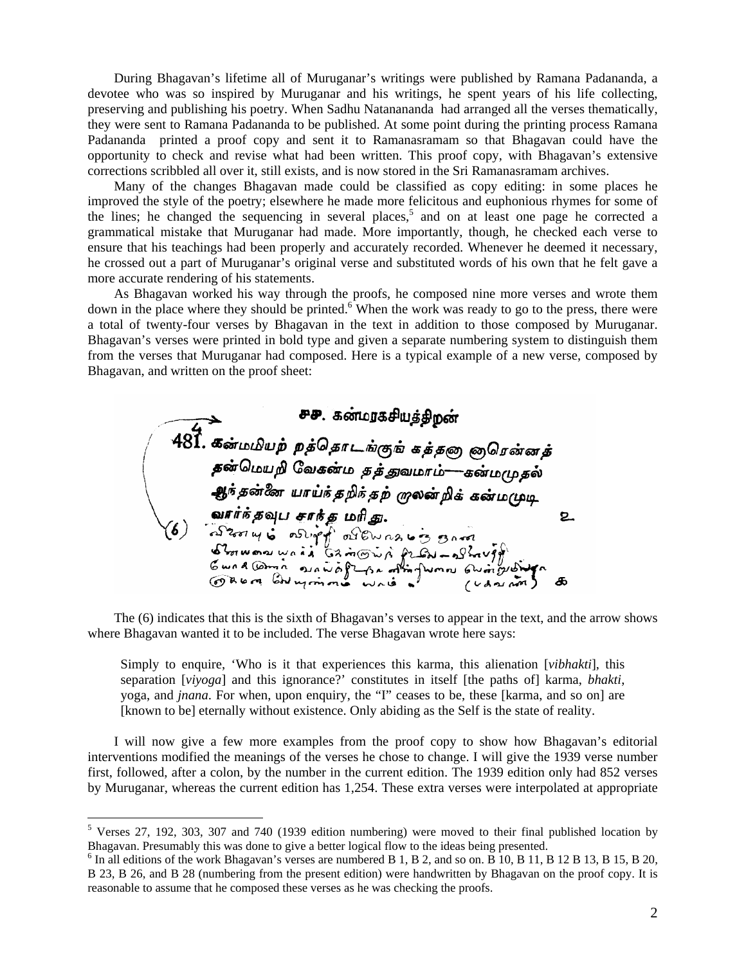During Bhagavan's lifetime all of Muruganar's writings were published by Ramana Padananda, a devotee who was so inspired by Muruganar and his writings, he spent years of his life collecting, preserving and publishing his poetry. When Sadhu Natanananda had arranged all the verses thematically, they were sent to Ramana Padananda to be published. At some point during the printing process Ramana Padananda printed a proof copy and sent it to Ramanasramam so that Bhagavan could have the opportunity to check and revise what had been written. This proof copy, with Bhagavan's extensive corrections scribbled all over it, still exists, and is now stored in the Sri Ramanasramam archives.

Many of the changes Bhagavan made could be classified as copy editing: in some places he improved the style of the poetry; elsewhere he made more felicitous and euphonious rhymes for some of the lines; he changed the sequencing in several places,<sup>[5](#page-1-0)</sup> and on at least one page he corrected a grammatical mistake that Muruganar had made. More importantly, though, he checked each verse to ensure that his teachings had been properly and accurately recorded. Whenever he deemed it necessary, he crossed out a part of Muruganar's original verse and substituted words of his own that he felt gave a more accurate rendering of his statements.

As Bhagavan worked his way through the proofs, he composed nine more verses and wrote them down in the place where they should be printed. $6\text{W}$  When the work was ready to go to the press, there were a total of twenty-four verses by Bhagavan in the text in addition to those composed by Muruganar. Bhagavan's verses were printed in bold type and given a separate numbering system to distinguish them from the verses that Muruganar had composed. Here is a typical example of a new verse, composed by Bhagavan, and written on the proof sheet:

**PP.** கண்மருகசியத்திறன்<br>
481. கண்மமியற் றத்தொடங்குங் கத்தறை குரென்னத்<br>
தன்மெயறி வேகன்ம தத்துவமாம்—கன்மமுதல்<br>ஆர்தன்னே யாய்ந்தறிக்கற் முலன்றிக் கன்மமுடி<br>
வார்ந்தவுப சாந்த மரிது.<br>
பொலை கூட்டு விடுக்கத்தில் சிரிது.<br>கோலை கூட்ட சுசு. கன்மரகசியத்திறன் 2

The (6) indicates that this is the sixth of Bhagavan's verses to appear in the text, and the arrow shows where Bhagavan wanted it to be included. The verse Bhagavan wrote here says:

Simply to enquire, 'Who is it that experiences this karma, this alienation [*vibhakti*], this separation [*viyoga*] and this ignorance?' constitutes in itself [the paths of] karma, *bhakti*, yoga, and *jnana*. For when, upon enquiry, the "I" ceases to be, these [karma, and so on] are [known to be] eternally without existence. Only abiding as the Self is the state of reality.

I will now give a few more examples from the proof copy to show how Bhagavan's editorial interventions modified the meanings of the verses he chose to change. I will give the 1939 verse number first, followed, after a colon, by the number in the current edition. The 1939 edition only had 852 verses by Muruganar, whereas the current edition has 1,254. These extra verses were interpolated at appropriate

<span id="page-1-0"></span> <sup>5</sup> Verses 27, 192, 303, 307 and 740 (1939 edition numbering) were moved to their final published location by Bhagavan. Presumably this was done to give a better logical flow to the ideas being presented. <sup>6</sup>

<span id="page-1-1"></span> $\delta$  In all editions of the work Bhagavan's verses are numbered B 1, B 2, and so on. B 10, B 11, B 12 B 13, B 15, B 20, B 23, B 26, and B 28 (numbering from the present edition) were handwritten by Bhagavan on the proof copy. It is reasonable to assume that he composed these verses as he was checking the proofs.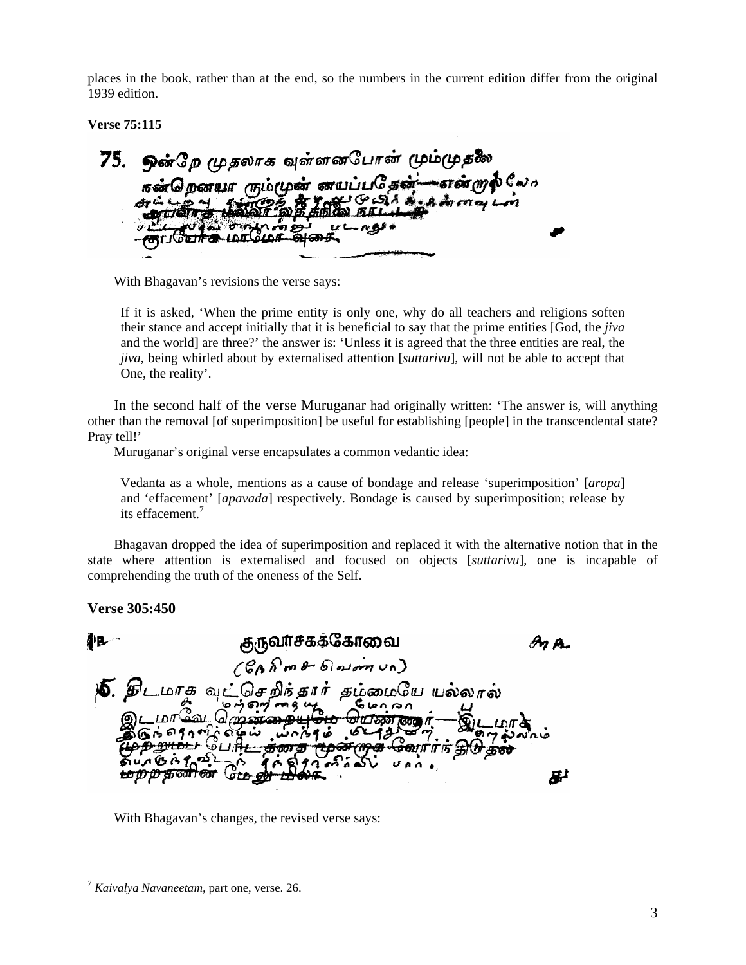places in the book, rather than at the end, so the numbers in the current edition differ from the original 1939 edition.

**Verse 75:115** 

75. ஒன்றே முதலாக வுள்ளனபோன் மும்முதலே கன்றெனயா ரும்முன் னயப்பதேன்-என்றுல் லோ GOSA de Ammais ını

With Bhagavan's revisions the verse says:

If it is asked, 'When the prime entity is only one, why do all teachers and religions soften their stance and accept initially that it is beneficial to say that the prime entities [God, the *jiva* and the world] are three?' the answer is: 'Unless it is agreed that the three entities are real, the *jiva*, being whirled about by externalised attention [*suttarivu*], will not be able to accept that One, the reality'.

In the second half of the verse Muruganar had originally written: 'The answer is, will anything other than the removal [of superimposition] be useful for establishing [people] in the transcendental state? Pray tell!'

Muruganar's original verse encapsulates a common vedantic idea:

Vedanta as a whole, mentions as a cause of bondage and release 'superimposition' [*aropa*] and 'effacement' [*apavada*] respectively. Bondage is caused by superimposition; release by its effacement.<sup>[7](#page-2-0)</sup>

Bhagavan dropped the idea of superimposition and replaced it with the alternative notion that in the state where attention is externalised and focused on objects [*suttarivu*], one is incapable of comprehending the truth of the oneness of the Self.

**Verse 305:450** 

குருவாசகக்கோவை  $A$ <sub>n</sub> $A$  $(60$ *n* $m$   $\theta$   $6)$   $\sin$   $\sin$ **)5.** திடமாக வுட்செறிக்கார் தம்மையே யல்லால்  $m$   $m$   $n$ Gonran ന്മാ জ خه ۶۹ இப்<del>ரிட் தனத</del> <del>மூன முக வா</del>ரா நி<del>டு தன</del>  $66902$ 串

With Bhagavan's changes, the revised verse says:

<span id="page-2-0"></span> <sup>7</sup> *Kaivalya Navaneetam,* part one, verse. 26.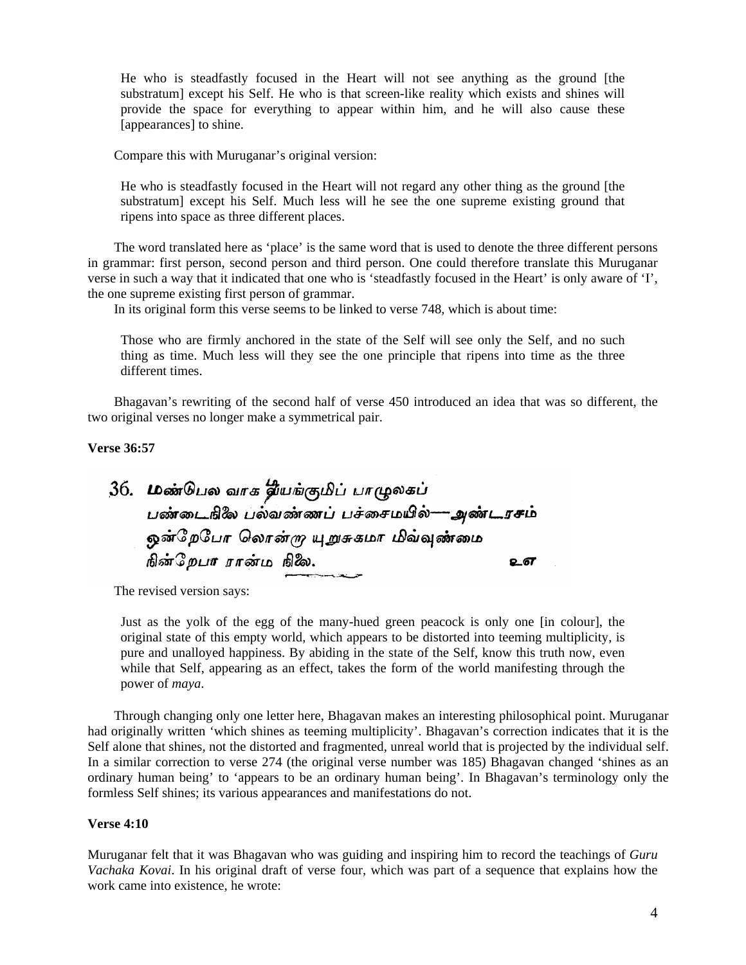He who is steadfastly focused in the Heart will not see anything as the ground [the substratum] except his Self. He who is that screen-like reality which exists and shines will provide the space for everything to appear within him, and he will also cause these [appearances] to shine.

Compare this with Muruganar's original version:

He who is steadfastly focused in the Heart will not regard any other thing as the ground [the substratum] except his Self. Much less will he see the one supreme existing ground that ripens into space as three different places.

The word translated here as 'place' is the same word that is used to denote the three different persons in grammar: first person, second person and third person. One could therefore translate this Muruganar verse in such a way that it indicated that one who is 'steadfastly focused in the Heart' is only aware of 'I', the one supreme existing first person of grammar.

In its original form this verse seems to be linked to verse 748, which is about time:

Those who are firmly anchored in the state of the Self will see only the Self, and no such thing as time. Much less will they see the one principle that ripens into time as the three different times.

Bhagavan's rewriting of the second half of verse 450 introduced an idea that was so different, the two original verses no longer make a symmetrical pair.

**Verse 36:57** 

36. மண்டுபல வாக தீயங்குமிப் பாழுலகப் பண்டைஙிலே பல்வண்ணப் பச்சைமயில்---- அண்டரசம் ஒன்றேபோ லொன்*ரு* யுறுசுகமா மிவ்வு<mark>ண்</mark>மை .<br>நின்றேபா ரான்ம நிலே. உள

The revised version says:

Just as the yolk of the egg of the many-hued green peacock is only one [in colour], the original state of this empty world, which appears to be distorted into teeming multiplicity, is pure and unalloyed happiness. By abiding in the state of the Self, know this truth now, even while that Self, appearing as an effect, takes the form of the world manifesting through the power of *maya*.

Through changing only one letter here, Bhagavan makes an interesting philosophical point. Muruganar had originally written 'which shines as teeming multiplicity'. Bhagavan's correction indicates that it is the Self alone that shines, not the distorted and fragmented, unreal world that is projected by the individual self. In a similar correction to verse 274 (the original verse number was 185) Bhagavan changed 'shines as an ordinary human being' to 'appears to be an ordinary human being'. In Bhagavan's terminology only the formless Self shines; its various appearances and manifestations do not.

### **Verse 4:10**

Muruganar felt that it was Bhagavan who was guiding and inspiring him to record the teachings of *Guru Vachaka Kovai*. In his original draft of verse four, which was part of a sequence that explains how the work came into existence, he wrote: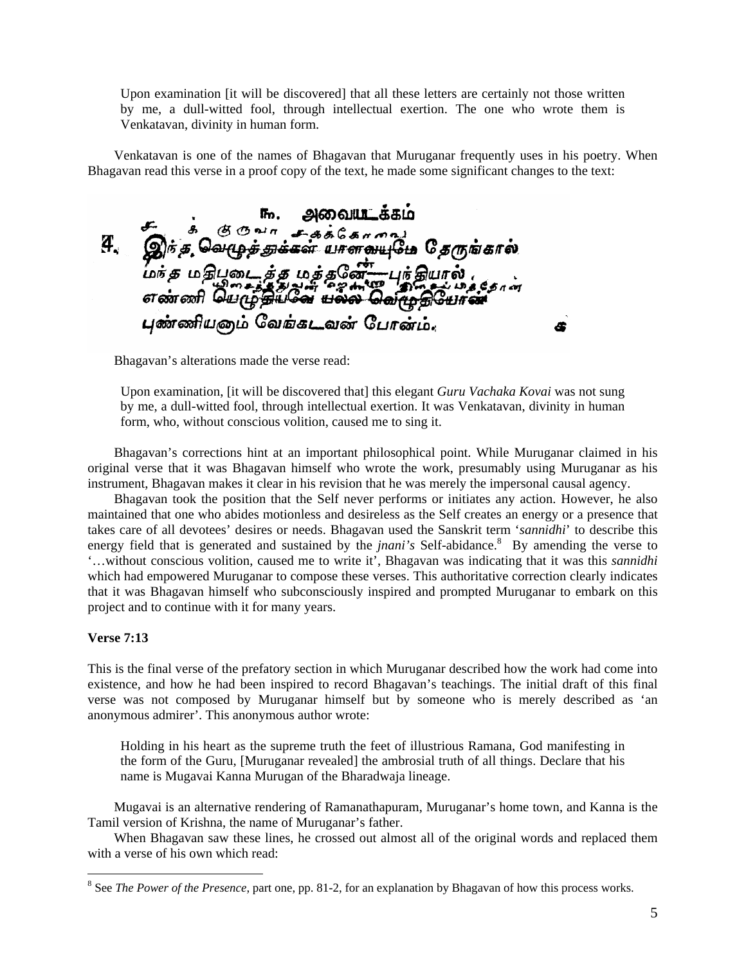Upon examination [it will be discovered] that all these letters are certainly not those written by me, a dull-witted fool, through intellectual exertion. The one who wrote them is Venkatavan, divinity in human form.

Venkatavan is one of the names of Bhagavan that Muruganar frequently uses in his poetry. When Bhagavan read this verse in a proof copy of the text, he made some significant changes to the text:

<u>அவையடக்கம்</u> சு க் கு குவா சுத்தேசாவை<br>இந்த வெழுத்துக்கள் யாளவயுமே தேருங்கால்  $\boldsymbol{q}_\text{c}$ .<br>மர்த மதிபூடை த்த மத்தவே எண்ணி யெழுத்தியவே <del>யல்ல</del> தெர்ந்தி புண்ணியனம் வேங்கடவன் போன்ம். Æ

Bhagavan's alterations made the verse read:

Upon examination, [it will be discovered that] this elegant *Guru Vachaka Kovai* was not sung by me, a dull-witted fool, through intellectual exertion. It was Venkatavan, divinity in human form, who, without conscious volition, caused me to sing it.

Bhagavan's corrections hint at an important philosophical point. While Muruganar claimed in his original verse that it was Bhagavan himself who wrote the work, presumably using Muruganar as his instrument, Bhagavan makes it clear in his revision that he was merely the impersonal causal agency.

Bhagavan took the position that the Self never performs or initiates any action. However, he also maintained that one who abides motionless and desireless as the Self creates an energy or a presence that takes care of all devotees' desires or needs. Bhagavan used the Sanskrit term '*sannidhi*' to describe this energyfield that is generated and sustained by the *jnani's* Self-abidance.<sup>8</sup> By amending the verse to '…without conscious volition, caused me to write it', Bhagavan was indicating that it was this *sannidhi* which had empowered Muruganar to compose these verses. This authoritative correction clearly indicates that it was Bhagavan himself who subconsciously inspired and prompted Muruganar to embark on this project and to continue with it for many years.

### **Verse 7:13**

This is the final verse of the prefatory section in which Muruganar described how the work had come into existence, and how he had been inspired to record Bhagavan's teachings. The initial draft of this final verse was not composed by Muruganar himself but by someone who is merely described as 'an anonymous admirer'. This anonymous author wrote:

Holding in his heart as the supreme truth the feet of illustrious Ramana, God manifesting in the form of the Guru, [Muruganar revealed] the ambrosial truth of all things. Declare that his name is Mugavai Kanna Murugan of the Bharadwaja lineage.

Mugavai is an alternative rendering of Ramanathapuram, Muruganar's home town, and Kanna is the Tamil version of Krishna, the name of Muruganar's father.

When Bhagavan saw these lines, he crossed out almost all of the original words and replaced them with a verse of his own which read:

<span id="page-4-0"></span> <sup>8</sup> <sup>8</sup> See *The Power of the Presence*, part one, pp. 81-2, for an explanation by Bhagavan of how this process works.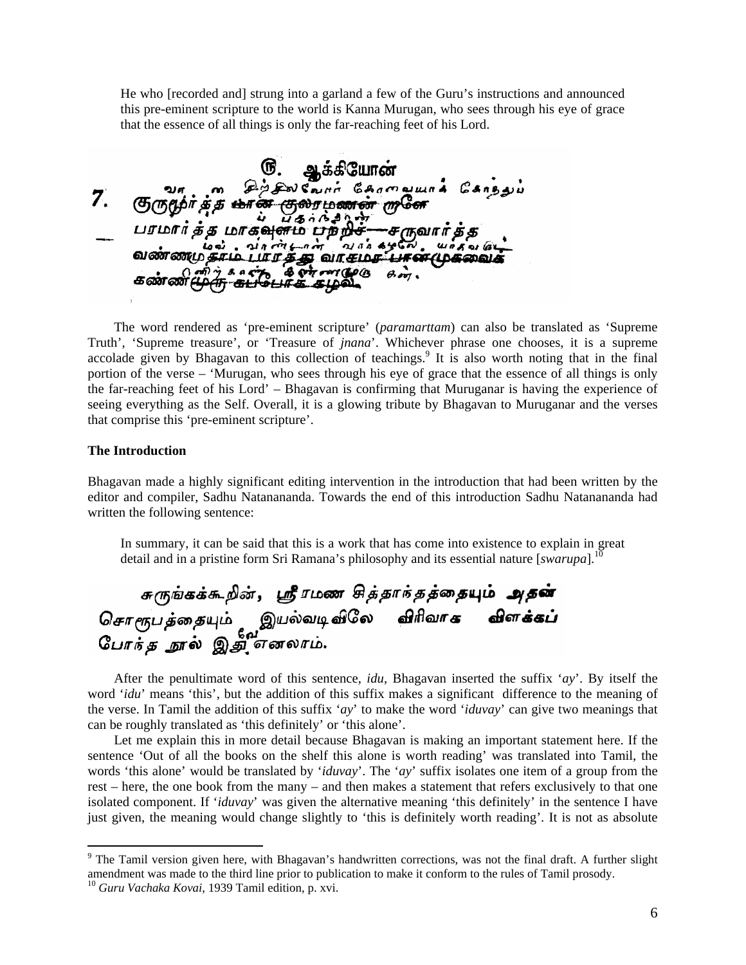He who [recorded and] strung into a garland a few of the Guru's instructions and announced this pre-eminent scripture to the world is Kanna Murugan, who sees through his eye of grace that the essence of all things is only the far-reaching feet of his Lord.

**6.** ஆக்கியோன்<br>சுருமூர்த்த <del>மான் குலரமணன் முனே</del><br>பரமார்த்த <del>மான் குலரமணன் முனே</del><br>பரமார்த்த மாகவுளம் பற்றிச்—சருவார்த்த<br>வண்ணமுக்கம் பார்த்த வாகம்கள் முன் முன் முன்  $Z_{\star}$ வண்ணமுதாம் பாரத்து வாசமா பான்முகவைக mi) y & a city a city ran de la  $\theta$ on

The word rendered as 'pre-eminent scripture' (*paramarttam*) can also be translated as 'Supreme Truth', 'Supreme treasure', or 'Treasure of *jnana*'. Whichever phrase one chooses, it is a supreme accolade given by Bhagavan to this collection of teachings.<sup>[9](#page-5-0)</sup> It is also worth noting that in the final portion of the verse – 'Murugan, who sees through his eye of grace that the essence of all things is only the far-reaching feet of his Lord' – Bhagavan is confirming that Muruganar is having the experience of seeing everything as the Self. Overall, it is a glowing tribute by Bhagavan to Muruganar and the verses that comprise this 'pre-eminent scripture'.

#### **The Introduction**

Bhagavan made a highly significant editing intervention in the introduction that had been written by the editor and compiler, Sadhu Natanananda. Towards the end of this introduction Sadhu Natanananda had written the following sentence:

In summary, it can be said that this is a work that has come into existence to explain in great detail and in a pristine form Sri Ramana's philosophy and its essential nature [*swarupa*].<sup>[10](#page-5-1)</sup>

சுருங்கக்கூறின், ஸ்ரீரமண சித்தாந்தத்தையும் அதன்<br>சொரூபத்தையும் இயல்வடிவிலே விரிவாக விளக்கப்<br>போந்த நூல் இதிர்எலாம்.

After the penultimate word of this sentence, *idu*, Bhagavan inserted the suffix '*ay*'. By itself the word '*idu*' means 'this', but the addition of this suffix makes a significant difference to the meaning of the verse. In Tamil the addition of this suffix '*ay*' to make the word '*iduvay*' can give two meanings that can be roughly translated as 'this definitely' or 'this alone'.

Let me explain this in more detail because Bhagavan is making an important statement here. If the sentence 'Out of all the books on the shelf this alone is worth reading' was translated into Tamil, the words 'this alone' would be translated by '*iduvay*'. The '*ay*' suffix isolates one item of a group from the rest – here, the one book from the many – and then makes a statement that refers exclusively to that one isolated component. If '*iduvay*' was given the alternative meaning 'this definitely' in the sentence I have just given, the meaning would change slightly to 'this is definitely worth reading'. It is not as absolute

<span id="page-5-0"></span><sup>-&</sup>lt;br>9 <sup>9</sup> The Tamil version given here, with Bhagavan's handwritten corrections, was not the final draft. A further slight amendment was made to the third line prior to publication to make it conform to the rules of Tamil prosody. 10 *Guru Vachaka Kovai*, 1939 Tamil edition, p. xvi.

<span id="page-5-1"></span>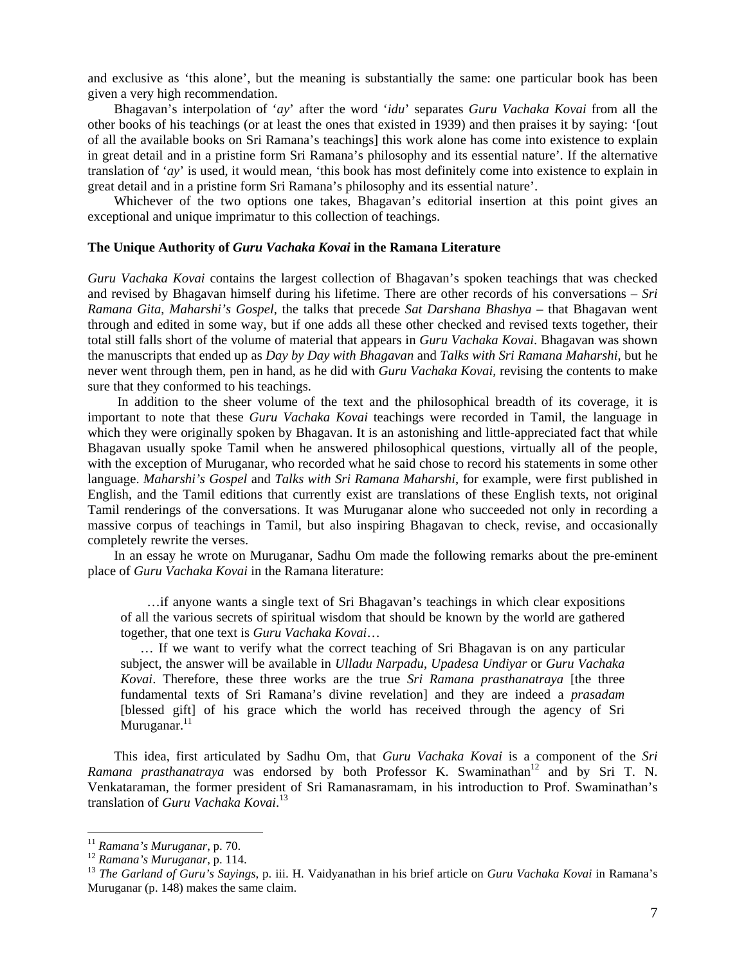and exclusive as 'this alone', but the meaning is substantially the same: one particular book has been given a very high recommendation.

Bhagavan's interpolation of '*ay*' after the word '*idu*' separates *Guru Vachaka Kovai* from all the other books of his teachings (or at least the ones that existed in 1939) and then praises it by saying: '[out of all the available books on Sri Ramana's teachings] this work alone has come into existence to explain in great detail and in a pristine form Sri Ramana's philosophy and its essential nature'. If the alternative translation of '*ay*' is used, it would mean, 'this book has most definitely come into existence to explain in great detail and in a pristine form Sri Ramana's philosophy and its essential nature'.

Whichever of the two options one takes, Bhagavan's editorial insertion at this point gives an exceptional and unique imprimatur to this collection of teachings.

## **The Unique Authority of** *Guru Vachaka Kovai* **in the Ramana Literature**

*Guru Vachaka Kovai* contains the largest collection of Bhagavan's spoken teachings that was checked and revised by Bhagavan himself during his lifetime. There are other records of his conversations – *Sri Ramana Gita*, *Maharshi's Gospel*, the talks that precede *Sat Darshana Bhashya* – that Bhagavan went through and edited in some way, but if one adds all these other checked and revised texts together, their total still falls short of the volume of material that appears in *Guru Vachaka Kovai*. Bhagavan was shown the manuscripts that ended up as *Day by Day with Bhagavan* and *Talks with Sri Ramana Maharshi*, but he never went through them, pen in hand, as he did with *Guru Vachaka Kovai*, revising the contents to make sure that they conformed to his teachings.

In addition to the sheer volume of the text and the philosophical breadth of its coverage, it is important to note that these *Guru Vachaka Kovai* teachings were recorded in Tamil, the language in which they were originally spoken by Bhagavan. It is an astonishing and little-appreciated fact that while Bhagavan usually spoke Tamil when he answered philosophical questions, virtually all of the people, with the exception of Muruganar, who recorded what he said chose to record his statements in some other language. *Maharshi's Gospel* and *Talks with Sri Ramana Maharshi*, for example, were first published in English, and the Tamil editions that currently exist are translations of these English texts, not original Tamil renderings of the conversations. It was Muruganar alone who succeeded not only in recording a massive corpus of teachings in Tamil, but also inspiring Bhagavan to check, revise, and occasionally completely rewrite the verses.

In an essay he wrote on Muruganar, Sadhu Om made the following remarks about the pre-eminent place of *Guru Vachaka Kovai* in the Ramana literature:

…if anyone wants a single text of Sri Bhagavan's teachings in which clear expositions of all the various secrets of spiritual wisdom that should be known by the world are gathered together, that one text is *Guru Vachaka Kovai*…

… If we want to verify what the correct teaching of Sri Bhagavan is on any particular subject, the answer will be available in *Ulladu Narpadu*, *Upadesa Undiyar* or *Guru Vachaka Kovai*. Therefore, these three works are the true *Sri Ramana prasthanatraya* [the three fundamental texts of Sri Ramana's divine revelation] and they are indeed a *prasadam* [blessed gift] of his grace which the world has received through the agency of Sri Muruganar. $^{11}$  $^{11}$  $^{11}$ 

This idea, first articulated by Sadhu Om, that *Guru Vachaka Kovai* is a component of the *Sri Ramana prasthanatraya* was endorsed by both Professor K. Swaminathan<sup>12</sup> and by Sri T. N. Venkataraman, the former president of Sri Ramanasramam, in his introduction to Prof. Swaminathan's translation of *Guru Vachaka Kovai*. [13](#page-6-2)

<span id="page-6-0"></span>

<span id="page-6-2"></span><span id="page-6-1"></span>

<sup>&</sup>lt;sup>11</sup> *Ramana's Muruganar*, p. 70.<br><sup>12</sup> *Ramana's Muruganar*, p. 114.<br><sup>13</sup> *The Garland of Guru's Sayings*, p. iii. H. Vaidyanathan in his brief article on *Guru Vachaka Kovai* in Ramana's Muruganar (p. 148) makes the same claim.